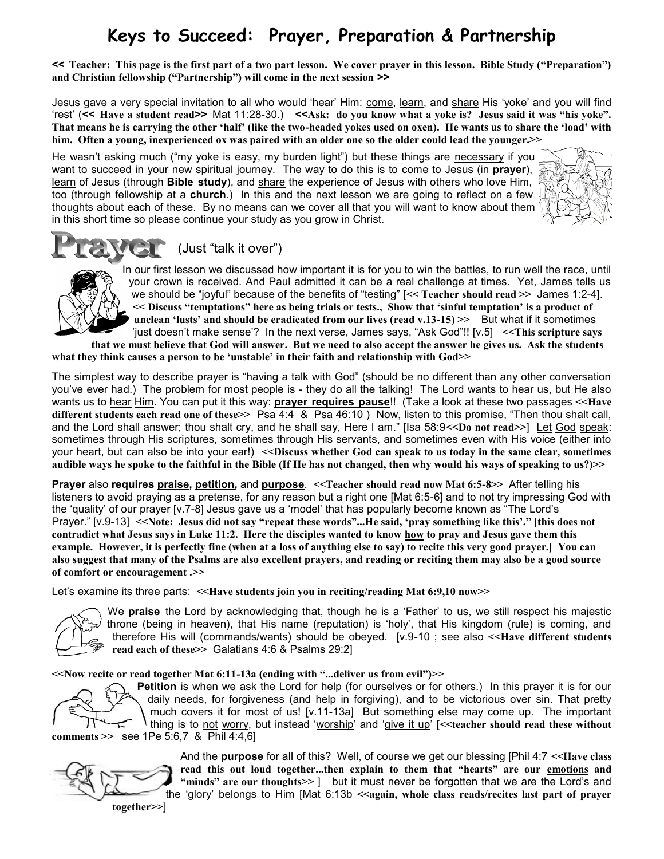## **Keys to Succeed: Prayer, Preparation & Partnership**

**<< Teacher: This page is the first part of a two part lesson. We cover prayer in this lesson. Bible Study ("Preparation") and Christian fellowship ("Partnership") will come in the next session >>**

Jesus gave a very special invitation to all who would 'hear' Him: come, learn, and share His 'yoke' and you will find "rest" (**<< Have a student read>>** Mat 11:28-30.) **<<Ask: do you know what a yoke is? Jesus said it was "his yoke". That means he is carrying the other "half" (like the two-headed yokes used on oxen). He wants us to share the "load" with him. Often a young, inexperienced ox was paired with an older one so the older could lead the younger.>>**

He wasn"t asking much ("my yoke is easy, my burden light") but these things are necessary if you want to succeed in your new spiritual journey. The way to do this is to come to Jesus (in **prayer**), learn of Jesus (through **Bible study**), and share the experience of Jesus with others who love Him, too (through fellowship at a **church**.) In this and the next lesson we are going to reflect on a few thoughts about each of these. By no means can we cover all that you will want to know about them in this short time so please continue your study as you grow in Christ.





(Just "talk it over")

In our first lesson we discussed how important it is for you to win the battles, to run well the race, until your crown is received. And Paul admitted it can be a real challenge at times. Yet, James tells us we should be "joyful" because of the benefits of "testing" [**<< Teacher should read >>** James 1:2-4]. **<< Discuss "temptations" here as being trials or tests., Show that "sinful temptation" is a product of unclean "lusts" and should be eradicated from our lives (read v.13-15) >>** But what if it sometimes "just doesn"t make sense"? In the next verse, James says, "Ask God"!! [v.5] **<<This scripture says** 

**that we must believe that God will answer. But we need to also accept the answer he gives us. Ask the students what they think causes a person to be "unstable" in their faith and relationship with God>>**

The simplest way to describe prayer is "having a talk with God" (should be no different than any other conversation you"ve ever had.) The problem for most people is - they do all the talking! The Lord wants to hear us, but He also wants us to hear Him. You can put it this way: **prayer requires pause**!! (Take a look at these two passages **<<Have different students each read one of these>>** Psa 4:4 & Psa 46:10 ) Now, listen to this promise, "Then thou shalt call, and the Lord shall answer; thou shalt cry, and he shall say, Here I am." [Isa 58:9**<<Do not read>>**] Let God speak: sometimes through His scriptures, sometimes through His servants, and sometimes even with His voice (either into your heart, but can also be into your ear!) **<<Discuss whether God can speak to us today in the same clear, sometimes audible ways he spoke to the faithful in the Bible (If He has not changed, then why would his ways of speaking to us?)>>**

**Prayer** also **requires praise, petition,** and **purpose**. **<<Teacher should read now Mat 6:5-8>>** After telling his listeners to avoid praying as a pretense, for any reason but a right one [Mat 6:5-6] and to not try impressing God with the "quality" of our prayer [v.7-8] Jesus gave us a "model" that has popularly become known as "The Lord"s Prayer." [v.9-13] <<Note: Jesus did not say "repeat these words"...He said, 'pray something like this'." [this does not **contradict what Jesus says in Luke 11:2. Here the disciples wanted to know how to pray and Jesus gave them this example. However, it is perfectly fine (when at a loss of anything else to say) to recite this very good prayer.] You can also suggest that many of the Psalms are also excellent prayers, and reading or reciting them may also be a good source of comfort or encouragement .>>**

Let's examine its three parts: <<Have students join you in reciting/reading Mat 6:9,10 now >>



We **praise** the Lord by acknowledging that, though he is a "Father" to us, we still respect his majestic throne (being in heaven), that His name (reputation) is "holy", that His kingdom (rule) is coming, and therefore His will (commands/wants) should be obeyed. [v.9-10 ; see also **<<Have different students read each of these>>** Galatians 4:6 & Psalms 29:2]

**<<Now recite or read together Mat 6:11-13a (ending with "...deliver us from evil")>>**

**Petition** is when we ask the Lord for help (for ourselves or for others.) In this prayer it is for our daily needs, for forgiveness (and help in forgiving), and to be victorious over sin. That pretty much covers it for most of us! [v.11-13a] But something else may come up. The important thing is to not worry, but instead "worship" and "give it up" [**<<teacher should read these without comments >>** see 1Pe 5:6,7 & Phil 4:4,6]



And the **purpose** for all of this? Well, of course we get our blessing [Phil 4:7 **<<Have class read this out loud together...then explain to them that "hearts" are our emotions and "minds" are our thoughts>>** ] but it must never be forgotten that we are the Lord"s and the "glory" belongs to Him [Mat 6:13b **<<again, whole class reads/recites last part of prayer**